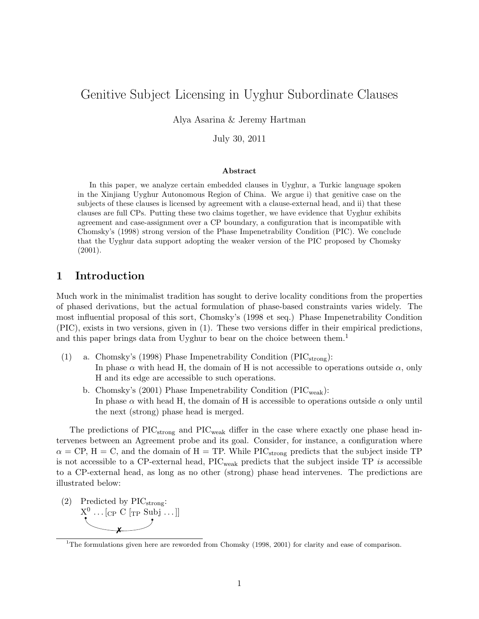# Genitive Subject Licensing in Uyghur Subordinate Clauses

Alya Asarina & Jeremy Hartman

July 30, 2011

#### Abstract

In this paper, we analyze certain embedded clauses in Uyghur, a Turkic language spoken in the Xinjiang Uyghur Autonomous Region of China. We argue i) that genitive case on the subjects of these clauses is licensed by agreement with a clause-external head, and ii) that these clauses are full CPs. Putting these two claims together, we have evidence that Uyghur exhibits agreement and case-assignment over a CP boundary, a configuration that is incompatible with Chomsky's (1998) strong version of the Phase Impenetrability Condition (PIC). We conclude that the Uyghur data support adopting the weaker version of the PIC proposed by Chomsky (2001).

## 1 Introduction

Much work in the minimalist tradition has sought to derive locality conditions from the properties of phased derivations, but the actual formulation of phase-based constraints varies widely. The most influential proposal of this sort, Chomsky's (1998 et seq.) Phase Impenetrability Condition (PIC), exists in two versions, given in (1). These two versions differ in their empirical predictions, and this paper brings data from Uyghur to bear on the choice between them.<sup>1</sup>

- (1) a. Chomsky's (1998) Phase Impenetrability Condition ( $\text{PIC}_{\text{strong}}$ ): In phase  $\alpha$  with head H, the domain of H is not accessible to operations outside  $\alpha$ , only H and its edge are accessible to such operations.
	- b. Chomsky's (2001) Phase Impenetrability Condition ( $\text{PIC}_{\text{weak}}$ ): In phase  $\alpha$  with head H, the domain of H is accessible to operations outside  $\alpha$  only until the next (strong) phase head is merged.

The predictions of  $\text{PIC}_{\text{strong}}$  and  $\text{PIC}_{\text{weak}}$  differ in the case where exactly one phase head intervenes between an Agreement probe and its goal. Consider, for instance, a configuration where  $\alpha = \text{CP}, H = \text{C}, \text{ and the domain of } H = \text{TP}.$  While PIC<sub>strong</sub> predicts that the subject inside TP is not accessible to a CP-external head, PICweak predicts that the subject inside TP *is* accessible to a CP-external head, as long as no other (strong) phase head intervenes. The predictions are illustrated below:

(2) Predicted by  $\text{PIC}_{\text{strong}}$ :  $X^0 \dots [C_P C \rbrack_{TP} \text{Subj} \dots ]]$ ✗

<sup>&</sup>lt;sup>1</sup>The formulations given here are reworded from Chomsky (1998, 2001) for clarity and ease of comparison.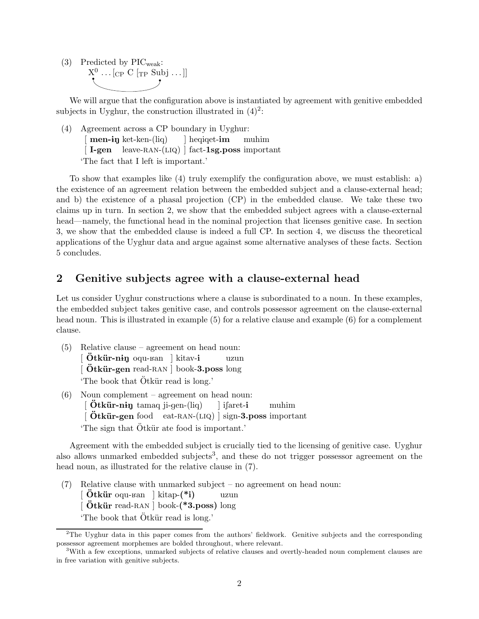(3) Predicted by  $\text{PIC}_{\text{weak}}$ :  $X^0 \dots [C_P C [T_P Subj \dots]]$ 

We will argue that the configuration above is instantiated by agreement with genitive embedded subjects in Uyghur, the construction illustrated in  $(4)^2$ :

(4) Agreement across a CP boundary in Uyghur:  $\lceil \text{men-iy ket-ken-}(\text{liq}) \rceil$ [I-gen leave-RAN-(LIQ) | fact-1sg.poss important ] heqiqet-im muhim 'The fact that I left is important.'

To show that examples like (4) truly exemplify the configuration above, we must establish: a) the existence of an agreement relation between the embedded subject and a clause-external head; and b) the existence of a phasal projection (CP) in the embedded clause. We take these two claims up in turn. In section 2, we show that the embedded subject agrees with a clause-external head—namely, the functional head in the nominal projection that licenses genitive case. In section 3, we show that the embedded clause is indeed a full CP. In section 4, we discuss the theoretical applications of the Uyghur data and argue against some alternative analyses of these facts. Section 5 concludes.

## 2 Genitive subjects agree with a clause-external head

Let us consider Uyghur constructions where a clause is subordinated to a noun. In these examples, the embedded subject takes genitive case, and controls possessor agreement on the clause-external head noun. This is illustrated in example (5) for a relative clause and example (6) for a complement clause.

- (5) Relative clause agreement on head noun: [Ötkür-niŋ oqu-ʁan ] kitav-i [Ötkür-gen read-RAN] book-3.poss long uzun The book that  $\ddot{\mathrm{O}}$ tkür read is long.'
- (6) Noun complement agreement on head noun:  $\int \ddot{\mathbf{O}}$ tkür-ning tamaq ji-gen- $\text{(liq)}$ [ Ötkür-gen food eat-RAN-(LIQ) ] sign-3.poss important ] ifaret-i muhim The sign that  $\ddot{\text{O}}$ tkür ate food is important.

Agreement with the embedded subject is crucially tied to the licensing of genitive case. Uyghur also allows unmarked embedded subjects<sup>3</sup>, and these do not trigger possessor agreement on the head noun, as illustrated for the relative clause in (7).

(7) Relative clause with unmarked subject – no agreement on head noun:  $\left[$  Ötkür oqu- $\text{tan}$  ] kitap- $(*i)$  $\left[$  Ötkür read-RAN  $\right]$  book- $(*3.$ poss) long uzun The book that  $\ddot{\text{O}}$ tkür read is long.'

<sup>&</sup>lt;sup>2</sup>The Uyghur data in this paper comes from the authors' fieldwork. Genitive subjects and the corresponding possessor agreement morphemes are bolded throughout, where relevant.

<sup>&</sup>lt;sup>3</sup>With a few exceptions, unmarked subjects of relative clauses and overtly-headed noun complement clauses are in free variation with genitive subjects.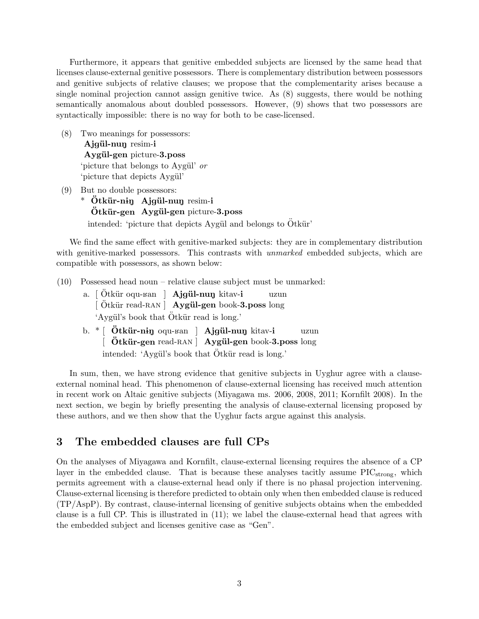Furthermore, it appears that genitive embedded subjects are licensed by the same head that licenses clause-external genitive possessors. There is complementary distribution between possessors and genitive subjects of relative clauses; we propose that the complementarity arises because a single nominal projection cannot assign genitive twice. As (8) suggests, there would be nothing semantically anomalous about doubled possessors. However, (9) shows that two possessors are syntactically impossible: there is no way for both to be case-licensed.

- (8) Two meanings for possessors: Ajgül-nun resim-i Aygül-gen picture-3.poss 'picture that belongs to Aygül' *or* 'picture that depicts Aygül'
- (9) But no double possessors:
	- $*$  Ötkür-niŋ Ajgül-nuŋ resim-i Ötkür-gen Aygül-gen picture-3.poss intended: 'picture that depicts Aygül and belongs to  $\ddot{\text{O}}$ tkür'

We find the same effect with genitive-marked subjects: they are in complementary distribution with genitive-marked possessors. This contrasts with *unmarked* embedded subjects, which are compatible with possessors, as shown below:

- (10) Possessed head noun relative clause subject must be unmarked:
	- a. [Ötkür oqu-Ban ] Ajgül-nun kitav-i [Ötkür read-RAN] Aygül-gen book-3.poss long uzun 'Aygül's book that Ötkür read is long.'
	- b. \* [ Ötkür-n<del>i</del>ŋ oqu-ʁan ] Ajgül-nuŋ kitav-i [ Ötkür-gen read-RAN ] Aygül-gen book-3.poss long uzun intended: 'Aygül's book that Ötkür read is long.'

In sum, then, we have strong evidence that genitive subjects in Uyghur agree with a clauseexternal nominal head. This phenomenon of clause-external licensing has received much attention in recent work on Altaic genitive subjects (Miyagawa ms. 2006, 2008, 2011; Kornfilt 2008). In the next section, we begin by briefly presenting the analysis of clause-external licensing proposed by these authors, and we then show that the Uyghur facts argue against this analysis.

## 3 The embedded clauses are full CPs

On the analyses of Miyagawa and Kornfilt, clause-external licensing requires the absence of a CP layer in the embedded clause. That is because these analyses tacitly assume  $\text{PIC}_{\text{strong}}$ , which permits agreement with a clause-external head only if there is no phasal projection intervening. Clause-external licensing is therefore predicted to obtain only when then embedded clause is reduced (TP/AspP). By contrast, clause-internal licensing of genitive subjects obtains when the embedded clause is a full CP. This is illustrated in (11); we label the clause-external head that agrees with the embedded subject and licenses genitive case as "Gen".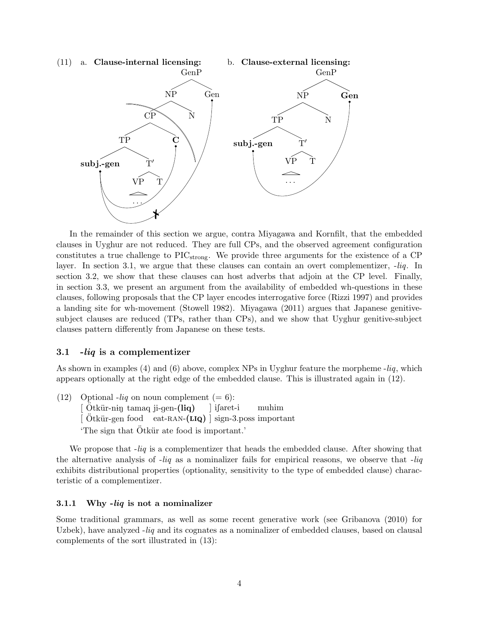

In the remainder of this section we argue, contra Miyagawa and Kornfilt, that the embedded clauses in Uyghur are not reduced. They are full CPs, and the observed agreement configuration constitutes a true challenge to  $\text{PIC}_{\text{strong}}$ . We provide three arguments for the existence of a CP layer. In section 3.1, we argue that these clauses can contain an overt complementizer, -*liq*. In section 3.2, we show that these clauses can host adverbs that adjoin at the CP level. Finally, in section 3.3, we present an argument from the availability of embedded wh-questions in these clauses, following proposals that the CP layer encodes interrogative force (Rizzi 1997) and provides a landing site for wh-movement (Stowell 1982). Miyagawa (2011) argues that Japanese genitivesubject clauses are reduced (TPs, rather than CPs), and we show that Uyghur genitive-subject clauses pattern differently from Japanese on these tests.

## 3.1 -liq is a complementizer

As shown in examples (4) and (6) above, complex NPs in Uyghur feature the morpheme -*liq*, which appears optionally at the right edge of the embedded clause. This is illustrated again in (12).

 $(12)$  Optional *-liq* on noun complement  $(= 6)$ : [Ötkür-nin tamaq ji-gen-(liq) [Ötkür-gen food eat-RAN-(LIQ) ] sign-3.poss important ] iSaret-i muhim The sign that Otkür ate food is important.

We propose that -*liq* is a complementizer that heads the embedded clause. After showing that the alternative analysis of -*liq* as a nominalizer fails for empirical reasons, we observe that -*liq* exhibits distributional properties (optionality, sensitivity to the type of embedded clause) characteristic of a complementizer.

#### 3.1.1 Why  $-liq$  is not a nominalizer

Some traditional grammars, as well as some recent generative work (see Gribanova (2010) for Uzbek), have analyzed -*liq* and its cognates as a nominalizer of embedded clauses, based on clausal complements of the sort illustrated in (13):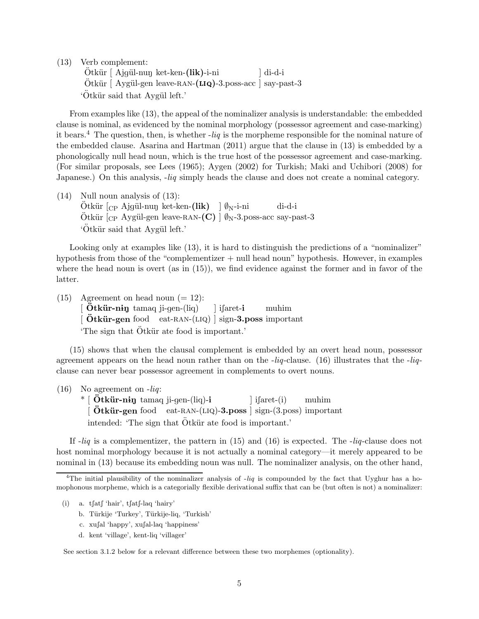(13) Verb complement:

Ötkür [ Ajgül-nun ket-ken-(lik)-i-ni Ötkür [ Aygül-gen leave-RAN-(LIQ)-3.poss-acc ] say-past-3 ] di-d-i 'Ötkür said that Aygül left.'

From examples like (13), the appeal of the nominalizer analysis is understandable: the embedded clause is nominal, as evidenced by the nominal morphology (possessor agreement and case-marking) it bears.<sup>4</sup> The question, then, is whether -*liq* is the morpheme responsible for the nominal nature of the embedded clause. Asarina and Hartman (2011) argue that the clause in (13) is embedded by a phonologically null head noun, which is the true host of the possessor agreement and case-marking. (For similar proposals, see Lees (1965); Aygen (2002) for Turkish; Maki and Uchibori (2008) for Japanese.) On this analysis, -*liq* simply heads the clause and does not create a nominal category.

(14) Null noun analysis of (13):  $\ddot{\text{O}}$ tkür  $\left[\text{CP} \text{ Ajgül-nu} \right]$  ket-ken-(lik)  $\int \phi_N$ -i-ni Ötkür  $\left[\right._{\text{CP}}$  Aygül-gen leave-RAN- $\left(\text{C}\right)$   $\right]$   $\emptyset_{\text{N}}$ -3.poss-acc say-past-3 di-d-i 'Ötkür said that Aygül left.'

Looking only at examples like (13), it is hard to distinguish the predictions of a "nominalizer" hypothesis from those of the "complementizer + null head noun" hypothesis. However, in examples where the head noun is overt (as in  $(15)$ ), we find evidence against the former and in favor of the latter.

(15) Agreement on head noun  $(= 12)$ :  $\int \ddot{\mathbf{O}}$ tkür-ning tamaq ji-gen-(liq) [ Ötkür-gen food eat-RAN-(LIQ) ] sign-3.poss important ] ifaret-i muhim The sign that  $\ddot{\text{O}}$ tkür ate food is important.

(15) shows that when the clausal complement is embedded by an overt head noun, possessor agreement appears on the head noun rather than on the -*liq*-clause. (16) illustrates that the -*liq*clause can never bear possessor agreement in complements to overt nouns.

(16) No agreement on -*liq*:

 $*$  [  $\ddot{\textbf{O}}$ tkür-ning tamaq ji-gen-(liq)-i [  $\ddot{\textbf{O}}$ tkür-gen food eat-RAN-(LIQ)-3.poss ] sign-(3.poss) important ] iSaret-(i) muhim intended: 'The sign that  $\ddot{O}$ tkür ate food is important.'

If -*liq* is a complementizer, the pattern in (15) and (16) is expected. The -*liq*-clause does not host nominal morphology because it is not actually a nominal category—it merely appeared to be nominal in (13) because its embedding noun was null. The nominalizer analysis, on the other hand,

- (i) a.  $t$ [at] 'hair',  $t$ [at]-laq 'hairy'
	- b. Türkije 'Turkey', Türkije-liq, 'Turkish'
	- c. xufal 'happy', xufal-laq 'happiness'
	- d. kent 'village', kent-liq 'villager'

See section 3.1.2 below for a relevant difference between these two morphemes (optionality).

<sup>&</sup>lt;sup>4</sup>The initial plausibility of the nominalizer analysis of  $-iq$  is compounded by the fact that Uyghur has a homophonous morpheme, which is a categorially flexible derivational suffix that can be (but often is not) a nominalizer: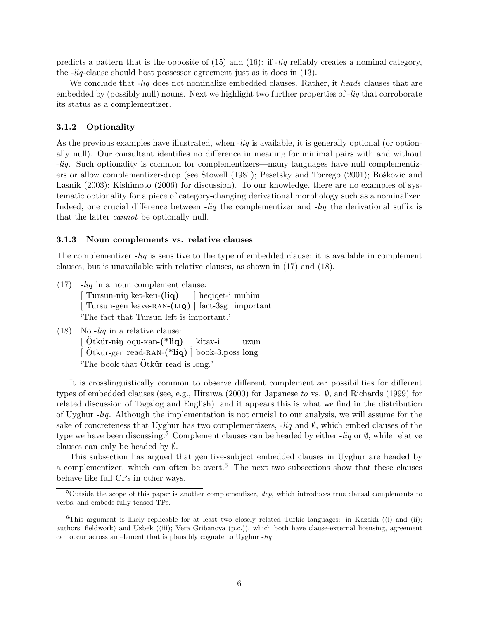predicts a pattern that is the opposite of (15) and (16): if -*liq* reliably creates a nominal category, the -*liq*-clause should host possessor agreement just as it does in (13).

We conclude that -*liq* does not nominalize embedded clauses. Rather, it *heads* clauses that are embedded by (possibly null) nouns. Next we highlight two further properties of -*liq* that corroborate its status as a complementizer.

#### 3.1.2 Optionality

As the previous examples have illustrated, when -*liq* is available, it is generally optional (or optionally null). Our consultant identifies no difference in meaning for minimal pairs with and without -*liq*. Such optionality is common for complementizers—many languages have null complementizers or allow complementizer-drop (see Stowell (1981); Pesetsky and Torrego (2001); Boškovic and Lasnik (2003); Kishimoto (2006) for discussion). To our knowledge, there are no examples of systematic optionality for a piece of category-changing derivational morphology such as a nominalizer. Indeed, one crucial difference between -*liq* the complementizer and -*liq* the derivational suffix is that the latter *cannot* be optionally null.

#### 3.1.3 Noun complements vs. relative clauses

The complementizer -*liq* is sensitive to the type of embedded clause: it is available in complement clauses, but is unavailable with relative clauses, as shown in (17) and (18).

- (17) -*liq* in a noun complement clause:  $\left[$  Tursun-ning ket-ken- $\left(\text{liq}\right)$ [ Tursun-gen leave-RAN-(LIQ) ] fact-3sg important ] heqiqet-i muhim 'The fact that Tursun left is important.'
- (18) No -*liq* in a relative clause:
	- [Ötkür-nin oqu-Ban-(\*liq) ] kitav-i [Ötkür-gen read-RAN-(\*liq) ] book-3.poss long uzun The book that Otkür read is long.'

It is crosslinguistically common to observe different complementizer possibilities for different types of embedded clauses (see, e.g., Hiraiwa (2000) for Japanese *to* vs. ∅, and Richards (1999) for related discussion of Tagalog and English), and it appears this is what we find in the distribution of Uyghur -*liq*. Although the implementation is not crucial to our analysis, we will assume for the sake of concreteness that Uyghur has two complementizers, -*liq* and ∅, which embed clauses of the type we have been discussing.<sup>5</sup> Complement clauses can be headed by either -*liq* or ∅, while relative clauses can only be headed by ∅.

This subsection has argued that genitive-subject embedded clauses in Uyghur are headed by a complementizer, which can often be overt.<sup>6</sup> The next two subsections show that these clauses behave like full CPs in other ways.

 $5$ Outside the scope of this paper is another complementizer,  $dep$ , which introduces true clausal complements to verbs, and embeds fully tensed TPs.

<sup>&</sup>lt;sup>6</sup>This argument is likely replicable for at least two closely related Turkic languages: in Kazakh ((i) and (ii); authors' fieldwork) and Uzbek ((iii); Vera Gribanova (p.c.)), which both have clause-external licensing, agreement can occur across an element that is plausibly cognate to Uyghur -liq: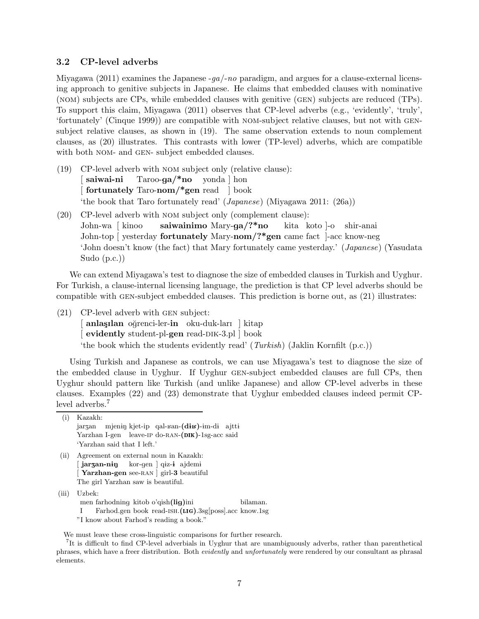### 3.2 CP-level adverbs

Miyagawa (2011) examines the Japanese -*ga*/-*no* paradigm, and argues for a clause-external licensing approach to genitive subjects in Japanese. He claims that embedded clauses with nominative (nom) subjects are CPs, while embedded clauses with genitive (gen) subjects are reduced (TPs). To support this claim, Miyagawa (2011) observes that CP-level adverbs (e.g., 'evidently', 'truly', 'fortunately' (Cinque 1999)) are compatible with nom-subject relative clauses, but not with gensubject relative clauses, as shown in (19). The same observation extends to noun complement clauses, as (20) illustrates. This contrasts with lower (TP-level) adverbs, which are compatible with both NOM- and GEN- subject embedded clauses.

- (19) CP-level adverb with nom subject only (relative clause): [ saiwai-ni [ fortunately Taro-nom/\*gen read ] book Taroo-ga/\*no yonda ] hon 'the book that Taro fortunately read' (*Japanese*) (Miyagawa 2011: (26a))
- (20) CP-level adverb with nom subject only (complement clause): John-wa [ kinoo John-top [ yesterday **fortunately** Mary-nom/?\*gen came fact ]-acc know-neg saiwainimo Mary-ga/?\*no kita koto ]-o shir-anai 'John doesn't know (the fact) that Mary fortunately came yesterday.' (*Japanese*) (Yasudata Sudo (p.c.))

We can extend Miyagawa's test to diagnose the size of embedded clauses in Turkish and Uyghur. For Turkish, a clause-internal licensing language, the prediction is that CP level adverbs should be compatible with gen-subject embedded clauses. This prediction is borne out, as (21) illustrates:

(21) CP-level adverb with gen subject:

[anlaşılan oğrenci-ler-in oku-duk-ları | kitap [ evidently student-pl-gen read-DIK-3.pl book 'the book which the students evidently read' (*Turkish*) (Jaklin Kornfilt (p.c.))

Using Turkish and Japanese as controls, we can use Miyagawa's test to diagnose the size of the embedded clause in Uyghur. If Uyghur gen-subject embedded clauses are full CPs, then Uyghur should pattern like Turkish (and unlike Japanese) and allow CP-level adverbs in these clauses. Examples (22) and (23) demonstrate that Uyghur embedded clauses indeed permit CPlevel adverbs.<sup>7</sup>

(i) Kazakh: jarzan mjenin kjet-ip qal- $\text{tan-}(\text{d}\text{i}\text{b})$ -im-di ajtti Yarzhan I-gen leave-IP do-RAN-(DIK)-1sg-acc said 'Yarzhan said that I left.'

(ii) Agreement on external noun in Kazakh:  $[$  jar $\tt{zan-nip}$ [Yarzhan-gen see-RAN] girl-3 beautiful kor-gen ] q<del>i</del>z-**i** ajdemi The girl Yarzhan saw is beautiful.

(iii) Uzbek:

men farhodning kitob o'qish(lig)ini I Farhod.gen book read-ISH.(LIG).3sg[poss].acc know.1sg bilaman.

"I know about Farhod's reading a book."

We must leave these cross-linguistic comparisons for further research.

<sup>7</sup> It is difficult to find CP-level adverbials in Uyghur that are unambiguously adverbs, rather than parenthetical phrases, which have a freer distribution. Both evidently and unfortunately were rendered by our consultant as phrasal elements.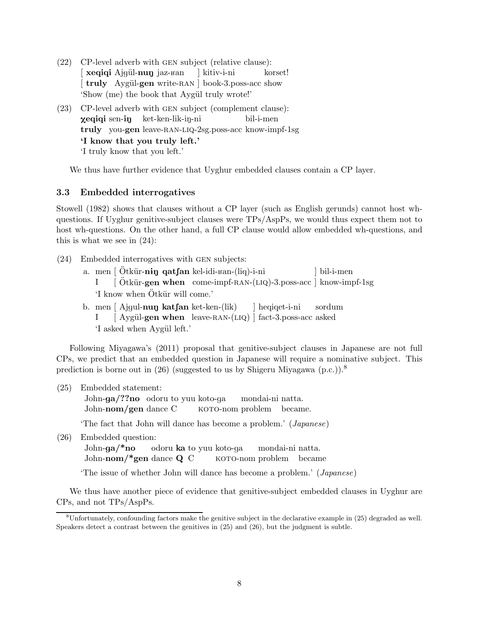- (22) CP-level adverb with gen subject (relative clause): [ xeqiqi Ajgül-nuŋ jaz-ʁan [truly Aygül-gen write-RAN ] book-3.poss-acc show ] kitiv-i-ni korset! 'Show (me) the book that Aygül truly wrote!'
- (23) CP-level adverb with gen subject (complement clause):  $\bm{\chi}$ eqiqi sen-i $\bm{\mathfrak{y}}$ truly you-gen leave-ran-liq-2sg.poss-acc know-impf-1sg ket-ken-lik-in-ni bil-i-men 'I know that you truly left.' 'I truly know that you left.'

We thus have further evidence that Uyghur embedded clauses contain a CP layer.

## 3.3 Embedded interrogatives

Stowell (1982) shows that clauses without a CP layer (such as English gerunds) cannot host whquestions. If Uyghur genitive-subject clauses were TPs/AspPs, we would thus expect them not to host wh-questions. On the other hand, a full CP clause would allow embedded wh-questions, and this is what we see in (24):

- (24) Embedded interrogatives with gen subjects:
	- a. men | Ötkür-nin qatfan kel-idi-ran-(liq)-i-ni I [Ötkür-gen when come-impf-RAN-(LIQ)-3.poss-acc ] know-impf-1sg ] bil-i-men 'I know when Ötkür will come.'
	- b. men  $[$  Ajgul-nun kat $\mathsf{fan}$  ket-ken- $(\text{lik})$ I [Aygül-gen when leave-RAN-(LIQ) ] fact-3.poss-acc asked ] heqiqet-i-ni sordum 'I asked when Aygül left.'

Following Miyagawa's (2011) proposal that genitive-subject clauses in Japanese are not full CPs, we predict that an embedded question in Japanese will require a nominative subject. This prediction is borne out in (26) (suggested to us by Shigeru Miyagawa (p.c.)).<sup>8</sup>

(25) Embedded statement:

John-ga/??no odoru to yuu koto-ga John-nom/gen dance C KOTO-nom problem became. mondai-ni natta.

'The fact that John will dance has become a problem.' (*Japanese*)

(26) Embedded question:

John-ga/\*no John-nom/\*gen dance Q C odoru ka to yuu koto-ga koto-nom problem became mondai-ni natta.

'The issue of whether John will dance has become a problem.' (*Japanese*)

We thus have another piece of evidence that genitive-subject embedded clauses in Uyghur are CPs, and not TPs/AspPs.

 ${}^8$ Unfortunately, confounding factors make the genitive subject in the declarative example in (25) degraded as well. Speakers detect a contrast between the genitives in (25) and (26), but the judgment is subtle.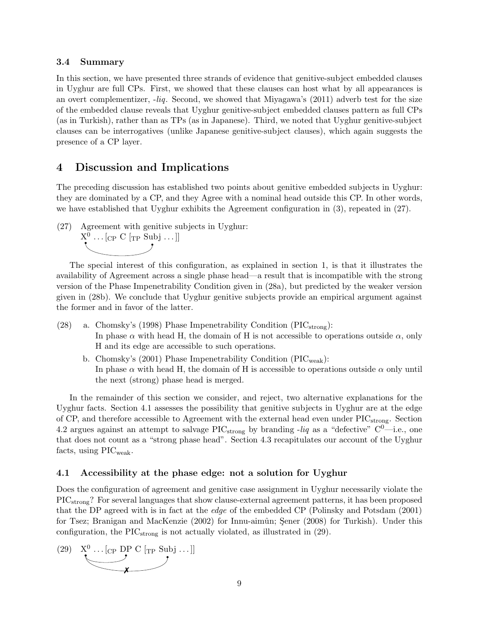### 3.4 Summary

In this section, we have presented three strands of evidence that genitive-subject embedded clauses in Uyghur are full CPs. First, we showed that these clauses can host what by all appearances is an overt complementizer, -*liq*. Second, we showed that Miyagawa's (2011) adverb test for the size of the embedded clause reveals that Uyghur genitive-subject embedded clauses pattern as full CPs (as in Turkish), rather than as TPs (as in Japanese). Third, we noted that Uyghur genitive-subject clauses can be interrogatives (unlike Japanese genitive-subject clauses), which again suggests the presence of a CP layer.

## 4 Discussion and Implications

The preceding discussion has established two points about genitive embedded subjects in Uyghur: they are dominated by a CP, and they Agree with a nominal head outside this CP. In other words, we have established that Uyghur exhibits the Agreement configuration in (3), repeated in (27).

(27) Agreement with genitive subjects in Uyghur:



The special interest of this configuration, as explained in section 1, is that it illustrates the availability of Agreement across a single phase head—a result that is incompatible with the strong version of the Phase Impenetrability Condition given in (28a), but predicted by the weaker version given in (28b). We conclude that Uyghur genitive subjects provide an empirical argument against the former and in favor of the latter.

- (28) a. Chomsky's (1998) Phase Impenetrability Condition ( $\text{PIC}_{\text{strong}}$ ): In phase  $\alpha$  with head H, the domain of H is not accessible to operations outside  $\alpha$ , only H and its edge are accessible to such operations.
	- b. Chomsky's (2001) Phase Impenetrability Condition ( $\text{PIC}_{\text{weak}}$ ): In phase  $\alpha$  with head H, the domain of H is accessible to operations outside  $\alpha$  only until the next (strong) phase head is merged.

In the remainder of this section we consider, and reject, two alternative explanations for the Uyghur facts. Section 4.1 assesses the possibility that genitive subjects in Uyghur are at the edge of CP, and therefore accessible to Agreement with the external head even under  $\text{PIC}_{\text{strong}}$ . Section 4.2 argues against an attempt to salvage  $\text{PIC}_{\text{strong}}$  by branding -*liq* as a "defective"  $\text{C}^0$ —i.e., one that does not count as a "strong phase head". Section 4.3 recapitulates our account of the Uyghur facts, using  $\text{PIC}_{\text{weak}}$ .

### 4.1 Accessibility at the phase edge: not a solution for Uyghur

Does the configuration of agreement and genitive case assignment in Uyghur necessarily violate the PICstrong? For several languages that show clause-external agreement patterns, it has been proposed that the DP agreed with is in fact at the *edge* of the embedded CP (Polinsky and Potsdam (2001) for Tsez; Branigan and MacKenzie (2002) for Innu-aimûn; Sener (2008) for Turkish). Under this configuration, the  $\text{PIC}_{\text{strong}}$  is not actually violated, as illustrated in (29).

 $(29)$  $X^0 \dots [C_P \text{DP C } [T_P \text{ Sub } j \dots] ]$ ✗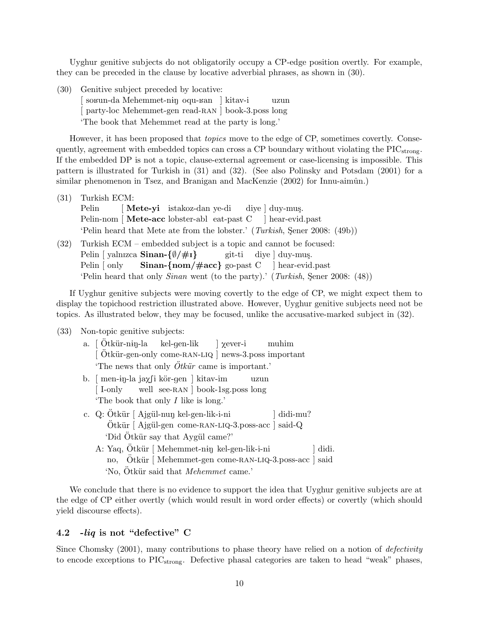Uyghur genitive subjects do not obligatorily occupy a CP-edge position overtly. For example, they can be preceded in the clause by locative adverbial phrases, as shown in (30).

(30) Genitive subject preceded by locative:

[so<sub>Bun-da</sub> Mehemmet-ning oqu-Ban | kitav-i [ party-loc Mehemmet-gen read-RAN ] book-3.poss long uzun 'The book that Mehemmet read at the party is long.'

However, it has been proposed that *topics* move to the edge of CP, sometimes covertly. Consequently, agreement with embedded topics can cross a CP boundary without violating the  $\text{PIC}_{\text{strong}}$ . If the embedded DP is not a topic, clause-external agreement or case-licensing is impossible. This pattern is illustrated for Turkish in (31) and (32). (See also Polinsky and Potsdam (2001) for a similar phenomenon in Tsez, and Branigan and MacKenzie  $(2002)$  for Innu-aimûn.)

- (31) Turkish ECM: Pelin Pelin-nom [Mete-acc lobster-abl eat-past C [ Mete-yi istakoz-dan ye-di diye | duy-muş. ] hear-evid.past 'Pelin heard that Mete ate from the lobster.' (*Turkish*, Sener 2008: (49b))
- (32) Turkish ECM embedded subject is a topic and cannot be focused: Pelin [ yalnızca Sinan-{Ø/#I} Pelin [ only Sinan-{nom/#acc} go-past C ] hear-evid.past git-ti diye ] duy-muş. 'Pelin heard that only *Sinan* went (to the party).' (*Turkish*, Sener 2008: (48))

If Uyghur genitive subjects were moving covertly to the edge of CP, we might expect them to display the topichood restriction illustrated above. However, Uyghur genitive subjects need not be topics. As illustrated below, they may be focused, unlike the accusative-marked subject in (32).

(33) Non-topic genitive subjects:

| a. $\int$ Otkür-nin-la kel-gen-lik $\int$ $\chi$ ever-i muhim      |
|--------------------------------------------------------------------|
| [Ötkür-gen-only come-RAN-LIQ ] news-3.poss important               |
| The news that only $\ddot{O}t\ddot{k}\ddot{u}r$ came is important. |
| b. [men-in-la ja $\chi$ [i kör-gen ] kitav-im<br>uzun              |
| [I-only well see-RAN book-1sg.poss long                            |
| The book that only $I$ like is long.'                              |
| c. Q: Ötkür [ Ajgül-nun kel-gen-lik-i-ni<br>didi-mu?               |
| Ötkür [Ajgül-gen come-RAN-LIQ-3.poss-acc ] said-Q                  |
| 'Did Ötkür say that Aygül came?'                                   |
| A: Yaq, Ötkür   Mehemmet-nin kel-gen-lik-i-ni<br>didi.             |
| no, Otkür   Mehemmet-gen come-RAN-LIQ-3.poss-acc   said            |
| 'No, Otkür said that <i>Mehemmet</i> came.'                        |

We conclude that there is no evidence to support the idea that Uyghur genitive subjects are at the edge of CP either overtly (which would result in word order effects) or covertly (which should yield discourse effects).

## 4.2 -liq is not "defective" C

Since Chomsky (2001), many contributions to phase theory have relied on a notion of *defectivity* to encode exceptions to PICstrong. Defective phasal categories are taken to head "weak" phases,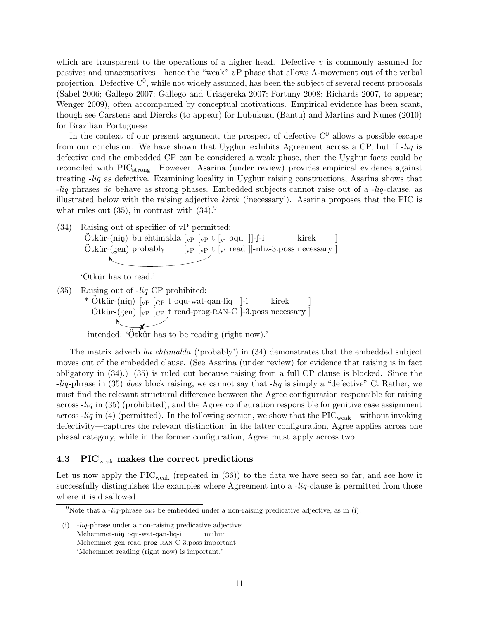which are transparent to the operations of a higher head. Defective *v* is commonly assumed for passives and unaccusatives—hence the "weak" *v*P phase that allows A-movement out of the verbal projection. Defective  $C^0$ , while not widely assumed, has been the subject of several recent proposals (Sabel 2006; Gallego 2007; Gallego and Uriagereka 2007; Fortuny 2008; Richards 2007, to appear; Wenger 2009), often accompanied by conceptual motivations. Empirical evidence has been scant, though see Carstens and Diercks (to appear) for Lubukusu (Bantu) and Martins and Nunes (2010) for Brazilian Portuguese.

In the context of our present argument, the prospect of defective  $C<sup>0</sup>$  allows a possible escape from our conclusion. We have shown that Uyghur exhibits Agreement across a CP, but if -*liq* is defective and the embedded CP can be considered a weak phase, then the Uyghur facts could be reconciled with PIC<sub>strong</sub>. However, Asarina (under review) provides empirical evidence against treating -*liq* as defective. Examining locality in Uyghur raising constructions, Asarina shows that -*liq* phrases *do* behave as strong phases. Embedded subjects cannot raise out of a -*liq*-clause, as illustrated below with the raising adjective *kirek* ('necessary'). Asarina proposes that the PIC is what rules out  $(35)$ , in contrast with  $(34)$ .<sup>9</sup>

(34) Raising out of specifier of vP permitted:  $\ddot{\text{O}}$ tkür-(niŋ) bu ehtimalda [<sub>vP</sub> [<sub>vP</sub> t [<sub>v'</sub> oqu ]]-f-i Ötkür-(gen) probably  $\begin{bmatrix} \n\text{vP} & \text{t} \n\end{bmatrix}$  [ $\text{v}$ <sup>'</sup> read ]]-nliz-3.poss necessary ] kirek ]

'Ötkür has to read.'

(35) Raising out of -*liq* CP prohibited: \* Ötkür-(niŋ) [<sub>vP</sub> [<sub>CP</sub> t oqu-wat-qan-liq ]-i  $Ötkür-(gen)$  [ $VP$  [CP t read-prog-RAN-C ]-3.poss necessary kirek  $\searrow$ 

intended:  $\overrightarrow{Otk\ddot{u}r}$  has to be reading (right now).'

The matrix adverb *bu ehtimalda* ('probably') in (34) demonstrates that the embedded subject moves out of the embedded clause. (See Asarina (under review) for evidence that raising is in fact obligatory in (34).) (35) is ruled out because raising from a full CP clause is blocked. Since the -*liq*-phrase in (35) *does* block raising, we cannot say that -*liq* is simply a "defective" C. Rather, we must find the relevant structural difference between the Agree configuration responsible for raising across -*liq* in (35) (prohibited), and the Agree configuration responsible for genitive case assignment across  $-liq$  in (4) (permitted). In the following section, we show that the PIC<sub>weak</sub>—without invoking defectivity—captures the relevant distinction: in the latter configuration, Agree applies across one phasal category, while in the former configuration, Agree must apply across two.

] ]

### 4.3 PIC<sub>weak</sub> makes the correct predictions

Let us now apply the  $\text{PIC}_{\text{weak}}$  (repeated in (36)) to the data we have seen so far, and see how it successfully distinguishes the examples where Agreement into a -*liq*-clause is permitted from those where it is disallowed.

<sup>&</sup>lt;sup>9</sup>Note that a *-liq-phrase can* be embedded under a non-raising predicative adjective, as in (i):

<sup>(</sup>i) -liq-phrase under a non-raising predicative adjective: Mehemmet-nin oqu-wat-qan-liq-i Mehemmet-gen read-prog-ran-C-3.poss important muhim 'Mehemmet reading (right now) is important.'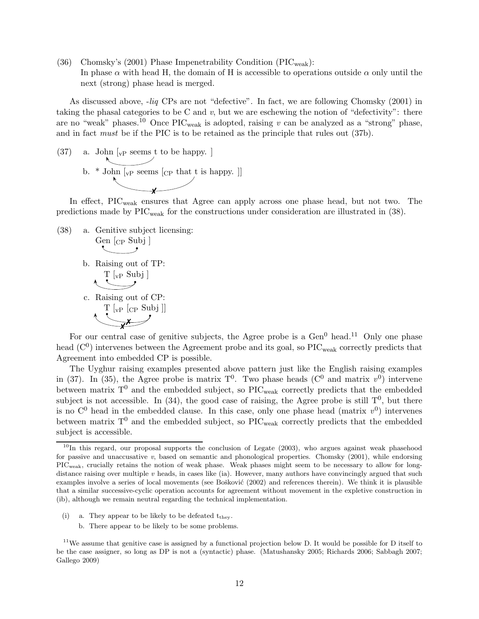(36) Chomsky's (2001) Phase Impenetrability Condition ( $\text{PIC}_{\text{weak}}$ ): In phase  $\alpha$  with head H, the domain of H is accessible to operations outside  $\alpha$  only until the next (strong) phase head is merged.

As discussed above, -*liq* CPs are not "defective". In fact, we are following Chomsky (2001) in taking the phasal categories to be C and *v*, but we are eschewing the notion of "defectivity": there are no "weak" phases.<sup>10</sup> Once  $\text{PIC}_{\text{weak}}$  is adopted, raising *v* can be analyzed as a "strong" phase, and in fact *must* be if the PIC is to be retained as the principle that rules out (37b).

 $(37)$  a. John  $\vert_{\text{vP}}$  seems t to be happy. b.  $*$  John  $\lbrack_{\mathrm{vP}}$  seems  $\lbrack_{\mathrm{CP}}$  that t is happy.  $\rbrack$ ✗

In effect, PIC<sub>weak</sub> ensures that Agree can apply across one phase head, but not two. The predictions made by PIC<sub>weak</sub> for the constructions under consideration are illustrated in (38).

(38) a. Genitive subject licensing: Gen [cp Subj ] b. Raising out of TP:  $\begin{matrix} \frac{T \left[ v \right] P}{P} \end{matrix}$ c. Raising out of CP: T [vP [CP Subj ]]  $\overline{x^x}$ 

For our central case of genitive subjects, the Agree probe is a  $Gen<sup>0</sup>$  head.<sup>11</sup> Only one phase head  $(C<sup>0</sup>)$  intervenes between the Agreement probe and its goal, so  $\text{PIC}_{\text{weak}}$  correctly predicts that Agreement into embedded CP is possible.

The Uyghur raising examples presented above pattern just like the English raising examples in (37). In (35), the Agree probe is matrix  $T^0$ . Two phase heads ( $C^0$  and matrix  $v^0$ ) intervene between matrix  $T^0$  and the embedded subject, so PIC<sub>weak</sub> correctly predicts that the embedded subject is not accessible. In (34), the good case of raising, the Agree probe is still  $T^0$ , but there is no  $\mathbb{C}^0$  head in the embedded clause. In this case, only one phase head (matrix  $v^0$ ) intervenes between matrix  $T^0$  and the embedded subject, so PIC<sub>weak</sub> correctly predicts that the embedded subject is accessible.

- (i) a. They appear to be likely to be defeated  $t_{\text{they}}$ .
	- b. There appear to be likely to be some problems.

 $10$ In this regard, our proposal supports the conclusion of Legate (2003), who argues against weak phasehood for passive and unaccusative v, based on semantic and phonological properties. Chomsky (2001), while endorsing PICweak, crucially retains the notion of weak phase. Weak phases might seem to be necessary to allow for longdistance raising over multiple v heads, in cases like (ia). However, many authors have convincingly argued that such examples involve a series of local movements (see Bošković (2002) and references therein). We think it is plausible that a similar successive-cyclic operation accounts for agreement without movement in the expletive construction in (ib), although we remain neutral regarding the technical implementation.

<sup>&</sup>lt;sup>11</sup>We assume that genitive case is assigned by a functional projection below D. It would be possible for D itself to be the case assigner, so long as DP is not a (syntactic) phase. (Matushansky 2005; Richards 2006; Sabbagh 2007; Gallego 2009)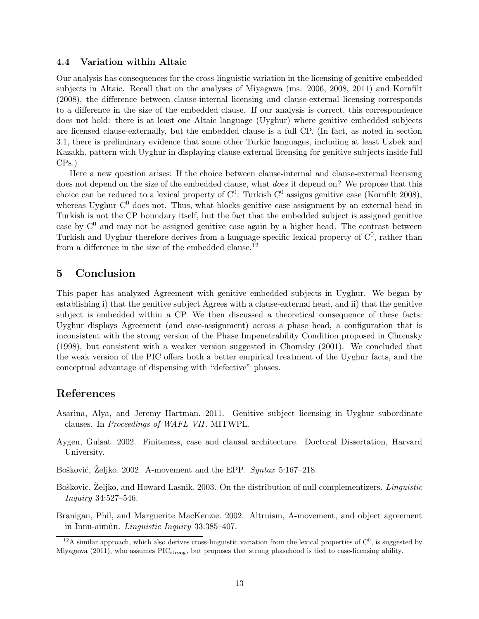### 4.4 Variation within Altaic

Our analysis has consequences for the cross-linguistic variation in the licensing of genitive embedded subjects in Altaic. Recall that on the analyses of Miyagawa (ms. 2006, 2008, 2011) and Kornfilt (2008), the difference between clause-internal licensing and clause-external licensing corresponds to a difference in the size of the embedded clause. If our analysis is correct, this correspondence does not hold: there is at least one Altaic language (Uyghur) where genitive embedded subjects are licensed clause-externally, but the embedded clause is a full CP. (In fact, as noted in section 3.1, there is preliminary evidence that some other Turkic languages, including at least Uzbek and Kazakh, pattern with Uyghur in displaying clause-external licensing for genitive subjects inside full CPs.)

Here a new question arises: If the choice between clause-internal and clause-external licensing does not depend on the size of the embedded clause, what *does* it depend on? We propose that this choice can be reduced to a lexical property of  $C^0$ : Turkish  $C^0$  assigns genitive case (Kornfilt 2008), whereas Uyghur  $C^0$  does not. Thus, what blocks genitive case assignment by an external head in Turkish is not the CP boundary itself, but the fact that the embedded subject is assigned genitive case by  $C^0$  and may not be assigned genitive case again by a higher head. The contrast between Turkish and Uyghur therefore derives from a language-specific lexical property of  $C^0$ , rather than from a difference in the size of the embedded clause.<sup>12</sup>

## 5 Conclusion

This paper has analyzed Agreement with genitive embedded subjects in Uyghur. We began by establishing i) that the genitive subject Agrees with a clause-external head, and ii) that the genitive subject is embedded within a CP. We then discussed a theoretical consequence of these facts: Uyghur displays Agreement (and case-assignment) across a phase head, a configuration that is inconsistent with the strong version of the Phase Impenetrability Condition proposed in Chomsky (1998), but consistent with a weaker version suggested in Chomsky (2001). We concluded that the weak version of the PIC offers both a better empirical treatment of the Uyghur facts, and the conceptual advantage of dispensing with "defective" phases.

## References

- Asarina, Alya, and Jeremy Hartman. 2011. Genitive subject licensing in Uyghur subordinate clauses. In *Proceedings of WAFL VII*. MITWPL.
- Aygen, Gulsat. 2002. Finiteness, case and clausal architecture. Doctoral Dissertation, Harvard University.
- Bošković, Zeljko. 2002. A-movement and the EPP. *Syntax* 5:167–218.
- Boškovic, Zeljko, and Howard Lasnik. 2003. On the distribution of null complementizers. *Linguistic Inquiry* 34:527–546.
- Branigan, Phil, and Marguerite MacKenzie. 2002. Altruism, A-movement, and object agreement in Innu-aimûn. *Linguistic Inquiry* 33:385–407.

<sup>&</sup>lt;sup>12</sup>A similar approach, which also derives cross-linguistic variation from the lexical properties of  $C^0$ , is suggested by Miyagawa (2011), who assumes PIC<sub>strong</sub>, but proposes that strong phasehood is tied to case-licensing ability.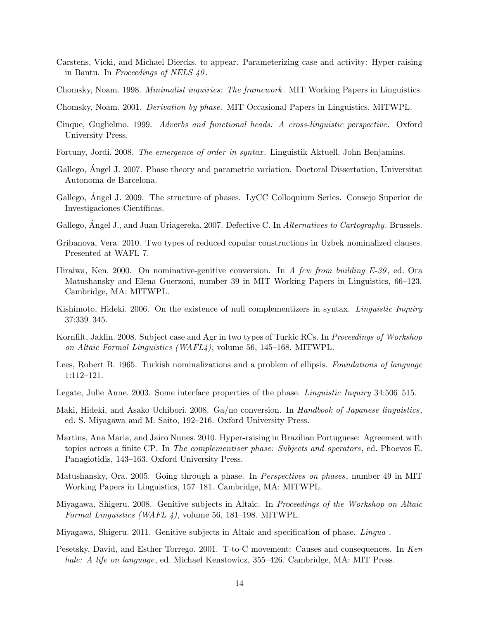- Carstens, Vicki, and Michael Diercks. to appear. Parameterizing case and activity: Hyper-raising in Bantu. In *Proceedings of NELS 40*.
- Chomsky, Noam. 1998. *Minimalist inquiries: The framework*. MIT Working Papers in Linguistics.
- Chomsky, Noam. 2001. *Derivation by phase*. MIT Occasional Papers in Linguistics. MITWPL.
- Cinque, Guglielmo. 1999. *Adverbs and functional heads: A cross-linguistic perspective*. Oxford University Press.
- Fortuny, Jordi. 2008. *The emergence of order in syntax* . Linguistik Aktuell. John Benjamins.
- Gallego, Angel J. 2007. Phase theory and parametric variation. Doctoral Dissertation, Universitat Autonoma de Barcelona.
- Gallego, Angel J. 2009. The structure of phases. LyCC Colloquium Series. Consejo Superior de Investigaciones Científicas.
- Gallego, Angel J., and Juan Uriagereka. 2007. Defective C. In *Alternatives to Cartography*. Brussels.
- Gribanova, Vera. 2010. Two types of reduced copular constructions in Uzbek nominalized clauses. Presented at WAFL 7.
- Hiraiwa, Ken. 2000. On nominative-genitive conversion. In *A few from building E-39*, ed. Ora Matushansky and Elena Guerzoni, number 39 in MIT Working Papers in Linguistics, 66–123. Cambridge, MA: MITWPL.
- Kishimoto, Hideki. 2006. On the existence of null complementizers in syntax. *Linguistic Inquiry* 37:339–345.
- Kornfilt, Jaklin. 2008. Subject case and Agr in two types of Turkic RCs. In *Proceedings of Workshop on Altaic Formal Linguistics (WAFL4)*, volume 56, 145–168. MITWPL.
- Lees, Robert B. 1965. Turkish nominalizations and a problem of ellipsis. *Foundations of language* 1:112–121.
- Legate, Julie Anne. 2003. Some interface properties of the phase. *Linguistic Inquiry* 34:506–515.
- Maki, Hideki, and Asako Uchibori. 2008. Ga/no conversion. In *Handbook of Japanese linguistics*, ed. S. Miyagawa and M. Saito, 192–216. Oxford University Press.
- Martins, Ana Maria, and Jairo Nunes. 2010. Hyper-raising in Brazilian Portuguese: Agreement with topics across a finite CP. In *The complementiser phase: Subjects and operators*, ed. Phoevos E. Panagiotidis, 143–163. Oxford University Press.
- Matushansky, Ora. 2005. Going through a phase. In *Perspectives on phases*, number 49 in MIT Working Papers in Linguistics, 157–181. Cambridge, MA: MITWPL.
- Miyagawa, Shigeru. 2008. Genitive subjects in Altaic. In *Proceedings of the Workshop on Altaic Formal Linguistics (WAFL 4)*, volume 56, 181–198. MITWPL.
- Miyagawa, Shigeru. 2011. Genitive subjects in Altaic and specification of phase. *Lingua* .
- Pesetsky, David, and Esther Torrego. 2001. T-to-C movement: Causes and consequences. In *Ken hale: A life on language*, ed. Michael Kenstowicz, 355–426. Cambridge, MA: MIT Press.